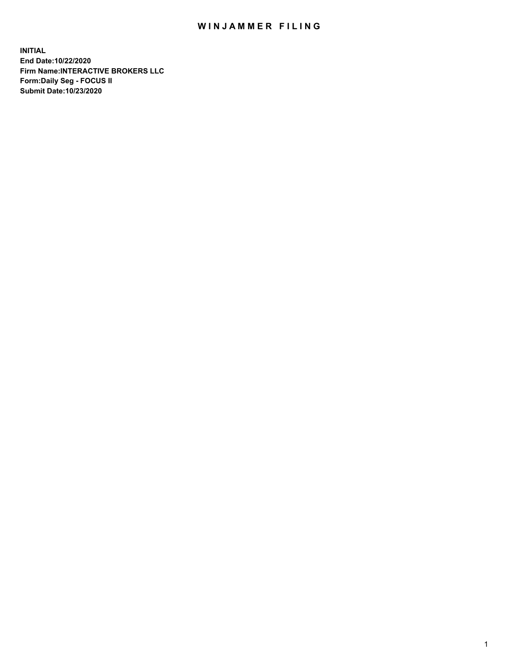## WIN JAMMER FILING

**INITIAL End Date:10/22/2020 Firm Name:INTERACTIVE BROKERS LLC Form:Daily Seg - FOCUS II Submit Date:10/23/2020**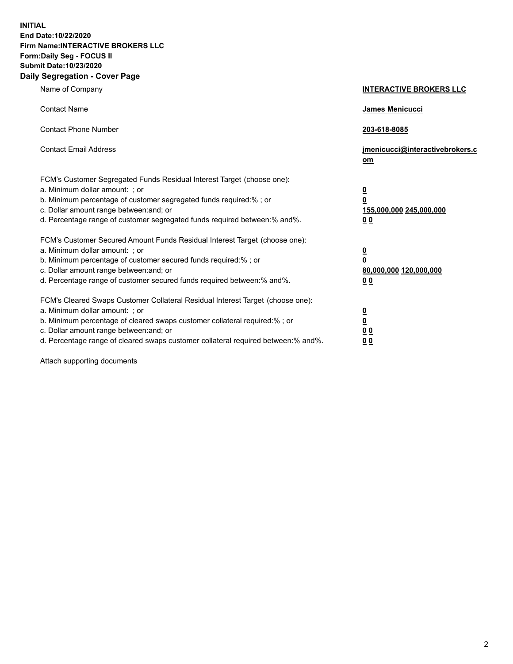**INITIAL End Date:10/22/2020 Firm Name:INTERACTIVE BROKERS LLC Form:Daily Seg - FOCUS II Submit Date:10/23/2020 Daily Segregation - Cover Page**

| Name of Company                                                                                                                                                                                                                                                                                                                | <b>INTERACTIVE BROKERS LLC</b>                                                  |
|--------------------------------------------------------------------------------------------------------------------------------------------------------------------------------------------------------------------------------------------------------------------------------------------------------------------------------|---------------------------------------------------------------------------------|
| <b>Contact Name</b>                                                                                                                                                                                                                                                                                                            | James Menicucci                                                                 |
| <b>Contact Phone Number</b>                                                                                                                                                                                                                                                                                                    | 203-618-8085                                                                    |
| <b>Contact Email Address</b>                                                                                                                                                                                                                                                                                                   | jmenicucci@interactivebrokers.c<br>om                                           |
| FCM's Customer Segregated Funds Residual Interest Target (choose one):<br>a. Minimum dollar amount: ; or<br>b. Minimum percentage of customer segregated funds required:%; or<br>c. Dollar amount range between: and; or<br>d. Percentage range of customer segregated funds required between:% and%.                          | <u>0</u><br>$\overline{\mathbf{0}}$<br>155,000,000 245,000,000<br><u>00</u>     |
| FCM's Customer Secured Amount Funds Residual Interest Target (choose one):<br>a. Minimum dollar amount: ; or<br>b. Minimum percentage of customer secured funds required:% ; or<br>c. Dollar amount range between: and; or<br>d. Percentage range of customer secured funds required between:% and%.                           | <u>0</u><br>$\overline{\mathbf{0}}$<br>80,000,000 120,000,000<br>0 <sub>0</sub> |
| FCM's Cleared Swaps Customer Collateral Residual Interest Target (choose one):<br>a. Minimum dollar amount: ; or<br>b. Minimum percentage of cleared swaps customer collateral required:% ; or<br>c. Dollar amount range between: and; or<br>d. Percentage range of cleared swaps customer collateral required between:% and%. | <u>0</u><br>$\underline{\mathbf{0}}$<br>0 <sub>0</sub><br>0 <sub>0</sub>        |

Attach supporting documents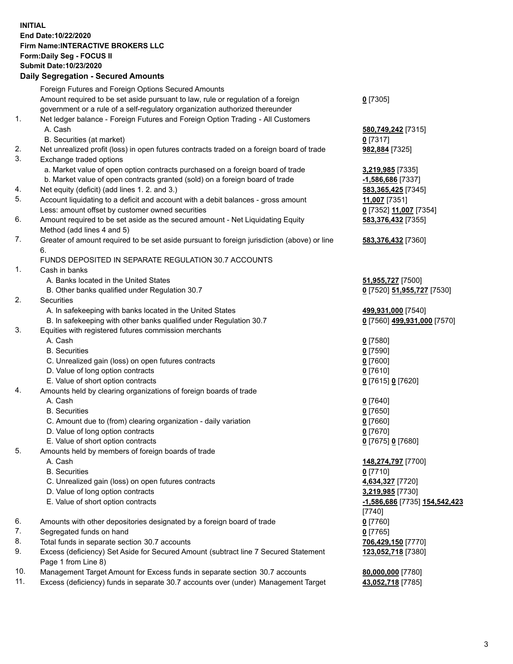**INITIAL End Date:10/22/2020 Firm Name:INTERACTIVE BROKERS LLC Form:Daily Seg - FOCUS II Submit Date:10/23/2020 Daily Segregation - Secured Amounts**

|     | Daily Jegi egation - Jeculeu Alliounts                                                      |                               |
|-----|---------------------------------------------------------------------------------------------|-------------------------------|
|     | Foreign Futures and Foreign Options Secured Amounts                                         |                               |
|     | Amount required to be set aside pursuant to law, rule or regulation of a foreign            | $0$ [7305]                    |
|     | government or a rule of a self-regulatory organization authorized thereunder                |                               |
| 1.  | Net ledger balance - Foreign Futures and Foreign Option Trading - All Customers             |                               |
|     | A. Cash                                                                                     | 580,749,242 [7315]            |
|     | B. Securities (at market)                                                                   | 0 [7317]                      |
| 2.  | Net unrealized profit (loss) in open futures contracts traded on a foreign board of trade   | 982,884 [7325]                |
| 3.  | Exchange traded options                                                                     |                               |
|     | a. Market value of open option contracts purchased on a foreign board of trade              | 3,219,985 [7335]              |
|     | b. Market value of open contracts granted (sold) on a foreign board of trade                | -1,586,686 [7337]             |
| 4.  | Net equity (deficit) (add lines 1. 2. and 3.)                                               | 583,365,425 [7345]            |
| 5.  | Account liquidating to a deficit and account with a debit balances - gross amount           | 11,007 [7351]                 |
|     | Less: amount offset by customer owned securities                                            | 0 [7352] 11,007 [7354]        |
| 6.  | Amount required to be set aside as the secured amount - Net Liquidating Equity              | 583,376,432 [7355]            |
|     | Method (add lines 4 and 5)                                                                  |                               |
| 7.  | Greater of amount required to be set aside pursuant to foreign jurisdiction (above) or line | 583,376,432 [7360]            |
|     | 6.                                                                                          |                               |
|     | FUNDS DEPOSITED IN SEPARATE REGULATION 30.7 ACCOUNTS                                        |                               |
| 1.  | Cash in banks                                                                               |                               |
|     | A. Banks located in the United States                                                       | <b>51,955,727</b> [7500]      |
|     | B. Other banks qualified under Regulation 30.7                                              | 0 [7520] 51,955,727 [7530]    |
| 2.  | Securities                                                                                  |                               |
|     | A. In safekeeping with banks located in the United States                                   | 499,931,000 [7540]            |
|     | B. In safekeeping with other banks qualified under Regulation 30.7                          | 0 [7560] 499,931,000 [7570]   |
| 3.  | Equities with registered futures commission merchants                                       |                               |
|     | A. Cash                                                                                     | $0$ [7580]                    |
|     | <b>B.</b> Securities                                                                        | $0$ [7590]                    |
|     | C. Unrealized gain (loss) on open futures contracts                                         | $0$ [7600]                    |
|     | D. Value of long option contracts                                                           | $0$ [7610]                    |
|     | E. Value of short option contracts                                                          | 0 [7615] 0 [7620]             |
| 4.  | Amounts held by clearing organizations of foreign boards of trade                           |                               |
|     | A. Cash                                                                                     | $0$ [7640]                    |
|     | <b>B.</b> Securities                                                                        | $0$ [7650]                    |
|     | C. Amount due to (from) clearing organization - daily variation                             | $0$ [7660]                    |
|     | D. Value of long option contracts                                                           | $0$ [7670]                    |
|     | E. Value of short option contracts                                                          | 0 [7675] 0 [7680]             |
| 5.  | Amounts held by members of foreign boards of trade                                          |                               |
|     | A. Cash                                                                                     | 148,274,797 [7700]            |
|     | <b>B.</b> Securities                                                                        | $0$ [7710]                    |
|     | C. Unrealized gain (loss) on open futures contracts                                         | 4,634,327 [7720]              |
|     | D. Value of long option contracts                                                           | 3,219,985 [7730]              |
|     | E. Value of short option contracts                                                          | -1,586,686 [7735] 154,542,423 |
|     |                                                                                             | [7740]                        |
| 6.  | Amounts with other depositories designated by a foreign board of trade                      | $0$ [7760]                    |
| 7.  | Segregated funds on hand                                                                    | $0$ [7765]                    |
| 8.  | Total funds in separate section 30.7 accounts                                               | 706,429,150 [7770]            |
| 9.  | Excess (deficiency) Set Aside for Secured Amount (subtract line 7 Secured Statement         | 123,052,718 [7380]            |
|     | Page 1 from Line 8)                                                                         |                               |
| 10. | Management Target Amount for Excess funds in separate section 30.7 accounts                 | 80,000,000 [7780]             |
| 11. | Excess (deficiency) funds in separate 30.7 accounts over (under) Management Target          | 43,052,718 [7785]             |
|     |                                                                                             |                               |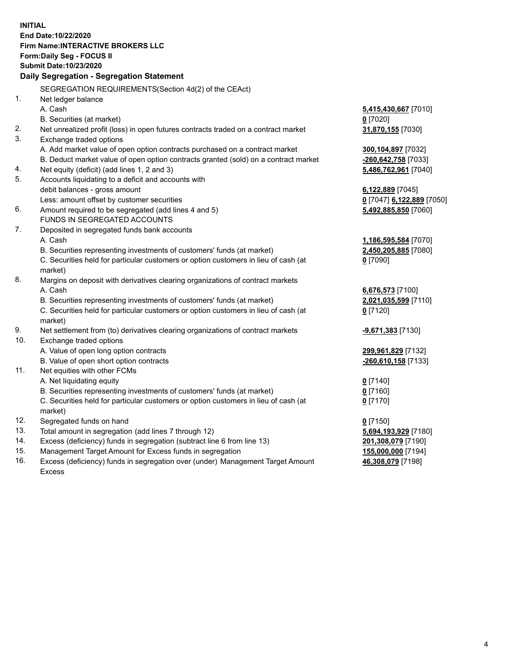**INITIAL End Date:10/22/2020 Firm Name:INTERACTIVE BROKERS LLC Form:Daily Seg - FOCUS II Submit Date:10/23/2020 Daily Segregation - Segregation Statement** SEGREGATION REQUIREMENTS(Section 4d(2) of the CEAct) 1. Net ledger balance A. Cash **5,415,430,667** [7010] B. Securities (at market) **0** [7020] 2. Net unrealized profit (loss) in open futures contracts traded on a contract market **31,870,155** [7030] 3. Exchange traded options A. Add market value of open option contracts purchased on a contract market **300,104,897** [7032] B. Deduct market value of open option contracts granted (sold) on a contract market **-260,642,758** [7033] 4. Net equity (deficit) (add lines 1, 2 and 3) **5,486,762,961** [7040] 5. Accounts liquidating to a deficit and accounts with debit balances - gross amount **6,122,889** [7045] Less: amount offset by customer securities **0** [7047] **6,122,889** [7050] 6. Amount required to be segregated (add lines 4 and 5) **5,492,885,850** [7060] FUNDS IN SEGREGATED ACCOUNTS 7. Deposited in segregated funds bank accounts A. Cash **1,186,595,584** [7070] B. Securities representing investments of customers' funds (at market) **2,450,205,885** [7080] C. Securities held for particular customers or option customers in lieu of cash (at market) **0** [7090] 8. Margins on deposit with derivatives clearing organizations of contract markets A. Cash **6,676,573** [7100] B. Securities representing investments of customers' funds (at market) **2,021,035,599** [7110] C. Securities held for particular customers or option customers in lieu of cash (at market) **0** [7120] 9. Net settlement from (to) derivatives clearing organizations of contract markets **-9,671,383** [7130] 10. Exchange traded options A. Value of open long option contracts **299,961,829** [7132] B. Value of open short option contracts **-260,610,158** [7133] 11. Net equities with other FCMs A. Net liquidating equity **0** [7140] B. Securities representing investments of customers' funds (at market) **0** [7160] C. Securities held for particular customers or option customers in lieu of cash (at market) **0** [7170] 12. Segregated funds on hand **0** [7150] 13. Total amount in segregation (add lines 7 through 12) **5,694,193,929** [7180] 14. Excess (deficiency) funds in segregation (subtract line 6 from line 13) **201,308,079** [7190] 15. Management Target Amount for Excess funds in segregation **155,000,000** [7194] **46,308,079** [7198]

16. Excess (deficiency) funds in segregation over (under) Management Target Amount Excess